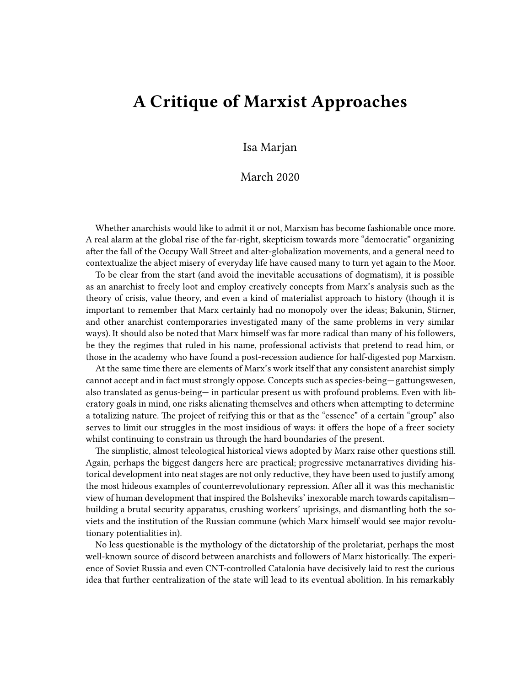## **A Critique of Marxist Approaches**

Isa Marjan

## March 2020

Whether anarchists would like to admit it or not, Marxism has become fashionable once more. A real alarm at the global rise of the far-right, skepticism towards more "democratic" organizing after the fall of the Occupy Wall Street and alter-globalization movements, and a general need to contextualize the abject misery of everyday life have caused many to turn yet again to the Moor.

To be clear from the start (and avoid the inevitable accusations of dogmatism), it is possible as an anarchist to freely loot and employ creatively concepts from Marx's analysis such as the theory of crisis, value theory, and even a kind of materialist approach to history (though it is important to remember that Marx certainly had no monopoly over the ideas; Bakunin, Stirner, and other anarchist contemporaries investigated many of the same problems in very similar ways). It should also be noted that Marx himself was far more radical than many of his followers, be they the regimes that ruled in his name, professional activists that pretend to read him, or those in the academy who have found a post-recession audience for half-digested pop Marxism.

At the same time there are elements of Marx's work itself that any consistent anarchist simply cannot accept and in fact must strongly oppose. Concepts such as species-being*—* gattungswesen, also translated as genus-being— in particular present us with profound problems. Even with liberatory goals in mind, one risks alienating themselves and others when attempting to determine a totalizing nature. The project of reifying this or that as the "essence" of a certain "group" also serves to limit our struggles in the most insidious of ways: it offers the hope of a freer society whilst continuing to constrain us through the hard boundaries of the present.

The simplistic, almost teleological historical views adopted by Marx raise other questions still. Again, perhaps the biggest dangers here are practical; progressive metanarratives dividing historical development into neat stages are not only reductive, they have been used to justify among the most hideous examples of counterrevolutionary repression. After all it was this mechanistic view of human development that inspired the Bolsheviks' inexorable march towards capitalism building a brutal security apparatus, crushing workers' uprisings, and dismantling both the soviets and the institution of the Russian commune (which Marx himself would see major revolutionary potentialities in).

No less questionable is the mythology of the dictatorship of the proletariat, perhaps the most well-known source of discord between anarchists and followers of Marx historically. The experience of Soviet Russia and even CNT-controlled Catalonia have decisively laid to rest the curious idea that further centralization of the state will lead to its eventual abolition. In his remarkably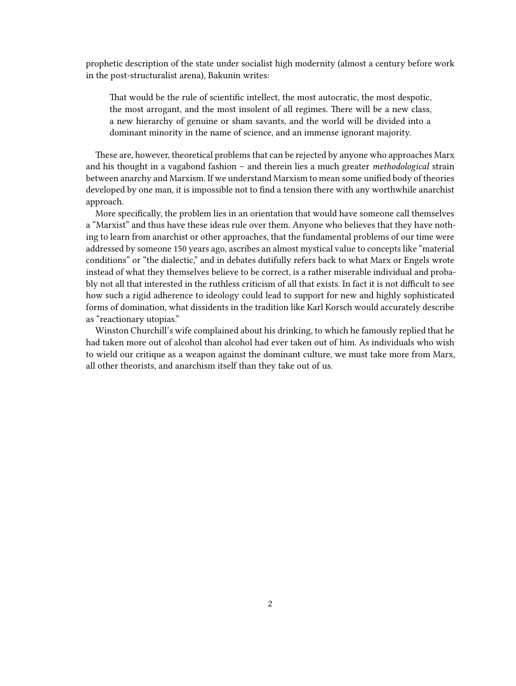prophetic description of the state under socialist high modernity (almost a century before work in the post-structuralist arena), Bakunin writes:

That would be the rule of scientific intellect, the most autocratic, the most despotic, the most arrogant, and the most insolent of all regimes. There will be a new class, a new hierarchy of genuine or sham savants, and the world will be divided into a dominant minority in the name of science, and an immense ignorant majority.

These are, however, theoretical problems that can be rejected by anyone who approaches Marx and his thought in a vagabond fashion – and therein lies a much greater *methodological* strain between anarchy and Marxism. If we understand Marxism to mean some unified body of theories developed by one man, it is impossible not to find a tension there with any worthwhile anarchist approach.

More specifically, the problem lies in an orientation that would have someone call themselves a "Marxist" and thus have these ideas rule over them. Anyone who believes that they have nothing to learn from anarchist or other approaches, that the fundamental problems of our time were addressed by someone 150 years ago, ascribes an almost mystical value to concepts like "material conditions" or "the dialectic," and in debates dutifully refers back to what Marx or Engels wrote instead of what they themselves believe to be correct, is a rather miserable individual and probably not all that interested in the ruthless criticism of all that exists. In fact it is not difficult to see how such a rigid adherence to ideology could lead to support for new and highly sophisticated forms of domination, what dissidents in the tradition like Karl Korsch would accurately describe as "reactionary utopias."

Winston Churchill's wife complained about his drinking, to which he famously replied that he had taken more out of alcohol than alcohol had ever taken out of him. As individuals who wish to wield our critique as a weapon against the dominant culture, we must take more from Marx, all other theorists, and anarchism itself than they take out of us.